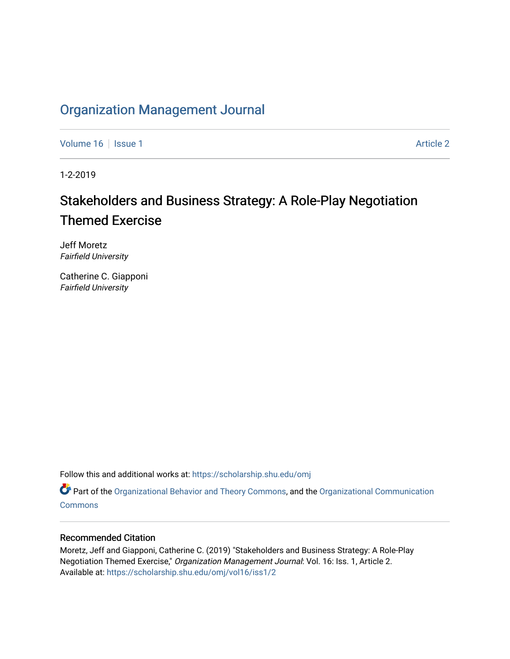# [Organization Management Journal](https://scholarship.shu.edu/omj)

[Volume 16](https://scholarship.shu.edu/omj/vol16) | [Issue 1](https://scholarship.shu.edu/omj/vol16/iss1) Article 2

1-2-2019

# Stakeholders and Business Strategy: A Role-Play Negotiation Themed Exercise

Jeff Moretz Fairfield University

Catherine C. Giapponi Fairfield University

Follow this and additional works at: [https://scholarship.shu.edu/omj](https://scholarship.shu.edu/omj?utm_source=scholarship.shu.edu%2Fomj%2Fvol16%2Fiss1%2F2&utm_medium=PDF&utm_campaign=PDFCoverPages) 

Part of the [Organizational Behavior and Theory Commons,](http://network.bepress.com/hgg/discipline/639?utm_source=scholarship.shu.edu%2Fomj%2Fvol16%2Fiss1%2F2&utm_medium=PDF&utm_campaign=PDFCoverPages) and the [Organizational Communication](http://network.bepress.com/hgg/discipline/335?utm_source=scholarship.shu.edu%2Fomj%2Fvol16%2Fiss1%2F2&utm_medium=PDF&utm_campaign=PDFCoverPages) **[Commons](http://network.bepress.com/hgg/discipline/335?utm_source=scholarship.shu.edu%2Fomj%2Fvol16%2Fiss1%2F2&utm_medium=PDF&utm_campaign=PDFCoverPages)** 

# Recommended Citation

Moretz, Jeff and Giapponi, Catherine C. (2019) "Stakeholders and Business Strategy: A Role-Play Negotiation Themed Exercise," Organization Management Journal: Vol. 16: Iss. 1, Article 2. Available at: [https://scholarship.shu.edu/omj/vol16/iss1/2](https://scholarship.shu.edu/omj/vol16/iss1/2?utm_source=scholarship.shu.edu%2Fomj%2Fvol16%2Fiss1%2F2&utm_medium=PDF&utm_campaign=PDFCoverPages)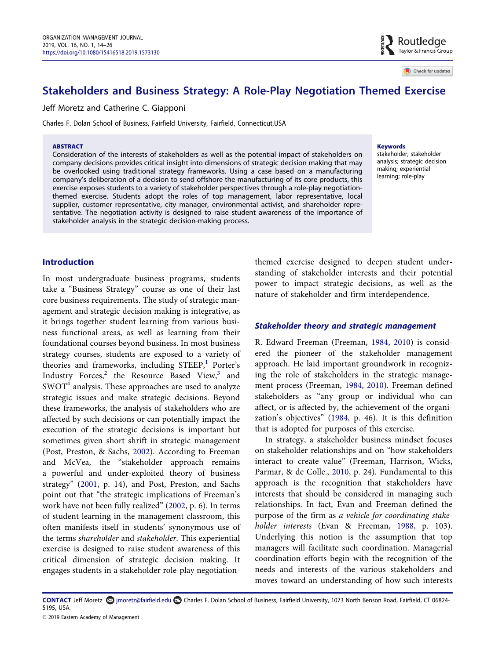# Stakeholders and Business Strategy: A Role-Play Negotiation Themed Exercise

#### Jeff Moretz and Catherine C. Giapponi

Charles F. Dolan School of Business, Fairfield University, Fairfield, Connecticut,USA

#### **ARSTRACT**

Consideration of the interests of stakeholders as well as the potential impact of stakeholders on company decisions provides critical insight into dimensions of strategic decision making that may be overlooked using traditional strategy frameworks. Using a case based on a manufacturing company's deliberation of a decision to send offshore the manufacturing of its core products, this exercise exposes students to a variety of stakeholder perspectives through a role-play negotiationthemed exercise. Students adopt the roles of top management, labor representative, local supplier, customer representative, city manager, environmental activist, and shareholder representative. The negotiation activity is designed to raise student awareness of the importance of stakeholder analysis in the strategic decision-making process.

#### Keywords

stakeholder; stakeholder analysis; strategic decision making; experiential learning; role-play

# Introduction

In most undergraduate business programs, students take a "Business Strategy" course as one of their last core business requirements. The study of strategic management and strategic decision making is integrative, as it brings together student learning from various business functional areas, as well as learning from their foundational courses beyond business. In most business strategy courses, students are exposed to a variety of theories and frameworks, including  $STEEP<sub>1</sub><sup>1</sup>$  $STEEP<sub>1</sub><sup>1</sup>$  $STEEP<sub>1</sub><sup>1</sup>$  Porter's Industry Forces,<sup>[2](#page-8-1)</sup> the Resource Based View,<sup>[3](#page-8-2)</sup> and  $SWOT<sup>4</sup>$  $SWOT<sup>4</sup>$  $SWOT<sup>4</sup>$  analysis. These approaches are used to analyze strategic issues and make strategic decisions. Beyond these frameworks, the analysis of stakeholders who are affected by such decisions or can potentially impact the execution of the strategic decisions is important but sometimes given short shrift in strategic management (Post, Preston, & Sachs, [2002\)](#page-9-0). According to Freeman and McVea, the "stakeholder approach remains a powerful and under-exploited theory of business strategy" ([2001,](#page-9-1) p. 14), and Post, Preston, and Sachs point out that "the strategic implications of Freeman's work have not been fully realized" [\(2002](#page-9-0), p. 6). In terms of student learning in the management classroom, this often manifests itself in students' synonymous use of the terms shareholder and stakeholder. This experiential exercise is designed to raise student awareness of this critical dimension of strategic decision making. It engages students in a stakeholder role-play negotiationthemed exercise designed to deepen student understanding of stakeholder interests and their potential power to impact strategic decisions, as well as the nature of stakeholder and firm interdependence.

#### Stakeholder theory and strategic management

<span id="page-1-2"></span>R. Edward Freeman (Freeman, [1984,](#page-9-2) [2010\)](#page-9-3) is considered the pioneer of the stakeholder management approach. He laid important groundwork in recognizing the role of stakeholders in the strategic management process (Freeman, [1984](#page-9-2), [2010](#page-9-3)). Freeman defined stakeholders as "any group or individual who can affect, or is affected by, the achievement of the organization's objectives" [\(1984](#page-9-2), p. 46). It is this definition that is adopted for purposes of this exercise.

<span id="page-1-3"></span><span id="page-1-1"></span><span id="page-1-0"></span>In strategy, a stakeholder business mindset focuses on stakeholder relationships and on "how stakeholders interact to create value" (Freeman, Harrison, Wicks, Parmar, & de Colle., [2010,](#page-9-4) p. 24). Fundamental to this approach is the recognition that stakeholders have interests that should be considered in managing such relationships. In fact, Evan and Freeman defined the purpose of the firm as a vehicle for coordinating stakeholder interests (Evan & Freeman, [1988](#page-9-5), p. 103). Underlying this notion is the assumption that top managers will facilitate such coordination. Managerial coordination efforts begin with the recognition of the needs and interests of the various stakeholders and moves toward an understanding of how such interests

<span id="page-1-5"></span><span id="page-1-4"></span>CONTACT Jeff Moretz <a> imoretz@fairfield.edu <a>
Charles F. Dolan School of Business, Fairfield University, 1073 North Benson Road, Fairfield, CT 06824-5195, USA.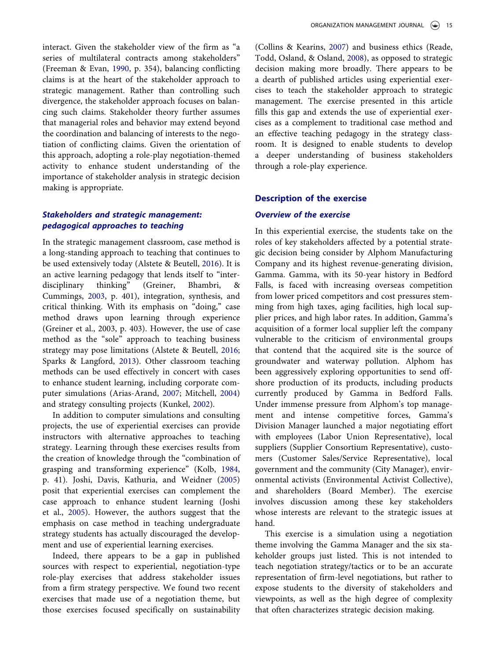<span id="page-2-3"></span>interact. Given the stakeholder view of the firm as "a series of multilateral contracts among stakeholders" (Freeman & Evan, [1990,](#page-9-6) p. 354), balancing conflicting claims is at the heart of the stakeholder approach to strategic management. Rather than controlling such divergence, the stakeholder approach focuses on balancing such claims. Stakeholder theory further assumes that managerial roles and behavior may extend beyond the coordination and balancing of interests to the negotiation of conflicting claims. Given the orientation of this approach, adopting a role-play negotiation-themed activity to enhance student understanding of the importance of stakeholder analysis in strategic decision making is appropriate.

# Stakeholders and strategic management: pedagogical approaches to teaching

<span id="page-2-4"></span>In the strategic management classroom, case method is a long-standing approach to teaching that continues to be used extensively today (Alstete & Beutell, [2016\)](#page-9-7). It is an active learning pedagogy that lends itself to "interdisciplinary thinking" (Greiner, Bhambri, & Cummings, [2003,](#page-9-8) p. 401), integration, synthesis, and critical thinking. With its emphasis on "doing," case method draws upon learning through experience (Greiner et al., 2003, p. 403). However, the use of case method as the "sole" approach to teaching business strategy may pose limitations (Alstete & Beutell, [2016;](#page-9-7) Sparks & Langford, [2013](#page-9-9)). Other classroom teaching methods can be used effectively in concert with cases to enhance student learning, including corporate computer simulations (Arias-Arand, [2007](#page-9-10); Mitchell, [2004](#page-9-11)) and strategy consulting projects (Kunkel, [2002\)](#page-9-12).

<span id="page-2-9"></span><span id="page-2-7"></span><span id="page-2-6"></span><span id="page-2-1"></span><span id="page-2-0"></span>In addition to computer simulations and consulting projects, the use of experiential exercises can provide instructors with alternative approaches to teaching strategy. Learning through these exercises results from the creation of knowledge through the "combination of grasping and transforming experience" (Kolb, [1984,](#page-9-13) p. 41). Joshi, Davis, Kathuria, and Weidner [\(2005](#page-9-14)) posit that experiential exercises can complement the case approach to enhance student learning (Joshi et al., [2005](#page-9-14)). However, the authors suggest that the emphasis on case method in teaching undergraduate strategy students has actually discouraged the development and use of experiential learning exercises.

<span id="page-2-5"></span>Indeed, there appears to be a gap in published sources with respect to experiential, negotiation-type role-play exercises that address stakeholder issues from a firm strategy perspective. We found two recent exercises that made use of a negotiation theme, but those exercises focused specifically on sustainability <span id="page-2-8"></span><span id="page-2-2"></span>(Collins & Kearins, [2007\)](#page-9-15) and business ethics (Reade, Todd, Osland, & Osland, [2008\)](#page-9-16), as opposed to strategic decision making more broadly. There appears to be a dearth of published articles using experiential exercises to teach the stakeholder approach to strategic management. The exercise presented in this article fills this gap and extends the use of experiential exercises as a complement to traditional case method and an effective teaching pedagogy in the strategy classroom. It is designed to enable students to develop a deeper understanding of business stakeholders through a role-play experience.

### Description of the exercise

#### Overview of the exercise

In this experiential exercise, the students take on the roles of key stakeholders affected by a potential strategic decision being consider by Alphom Manufacturing Company and its highest revenue-generating division, Gamma. Gamma, with its 50-year history in Bedford Falls, is faced with increasing overseas competition from lower priced competitors and cost pressures stemming from high taxes, aging facilities, high local supplier prices, and high labor rates. In addition, Gamma's acquisition of a former local supplier left the company vulnerable to the criticism of environmental groups that contend that the acquired site is the source of groundwater and waterway pollution. Alphom has been aggressively exploring opportunities to send offshore production of its products, including products currently produced by Gamma in Bedford Falls. Under immense pressure from Alphom's top management and intense competitive forces, Gamma's Division Manager launched a major negotiating effort with employees (Labor Union Representative), local suppliers (Supplier Consortium Representative), customers (Customer Sales/Service Representative), local government and the community (City Manager), environmental activists (Environmental Activist Collective), and shareholders (Board Member). The exercise involves discussion among these key stakeholders whose interests are relevant to the strategic issues at hand.

This exercise is a simulation using a negotiation theme involving the Gamma Manager and the six stakeholder groups just listed. This is not intended to teach negotiation strategy/tactics or to be an accurate representation of firm-level negotiations, but rather to expose students to the diversity of stakeholders and viewpoints, as well as the high degree of complexity that often characterizes strategic decision making.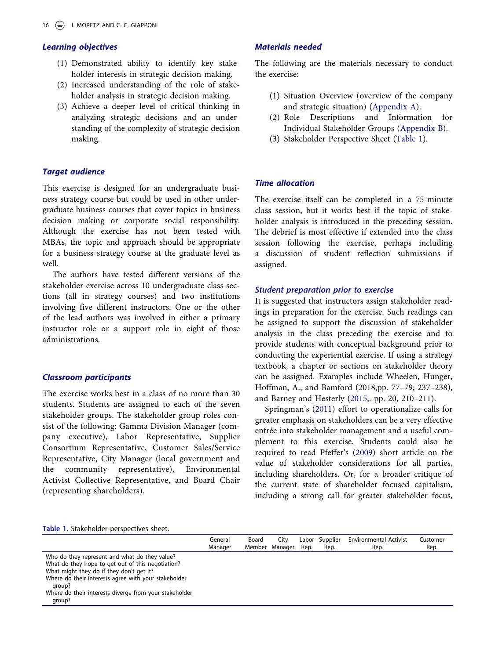#### Learning objectives

- (1) Demonstrated ability to identify key stakeholder interests in strategic decision making.
- (2) Increased understanding of the role of stakeholder analysis in strategic decision making.
- (3) Achieve a deeper level of critical thinking in analyzing strategic decisions and an understanding of the complexity of strategic decision making.

#### Target audience

This exercise is designed for an undergraduate business strategy course but could be used in other undergraduate business courses that cover topics in business decision making or corporate social responsibility. Although the exercise has not been tested with MBAs, the topic and approach should be appropriate for a business strategy course at the graduate level as well.

The authors have tested different versions of the stakeholder exercise across 10 undergraduate class sections (all in strategy courses) and two institutions involving five different instructors. One or the other of the lead authors was involved in either a primary instructor role or a support role in eight of those administrations.

#### Classroom participants

The exercise works best in a class of no more than 30 students. Students are assigned to each of the seven stakeholder groups. The stakeholder group roles consist of the following: Gamma Division Manager (company executive), Labor Representative, Supplier Consortium Representative, Customer Sales/Service Representative, City Manager (local government and the community representative), Environmental Activist Collective Representative, and Board Chair (representing shareholders).

### Materials needed

The following are the materials necessary to conduct the exercise:

- (1) Situation Overview (overview of the company and strategic situation) ([Appendix A](#page-9-17)).
- (2) Role Descriptions and Information for Individual Stakeholder Groups [\(Appendix B\)](#page-10-0).
- (3) Stakeholder Perspective Sheet [\(Table 1](#page-3-0)).

#### Time allocation

The exercise itself can be completed in a 75-minute class session, but it works best if the topic of stakeholder analysis is introduced in the preceding session. The debrief is most effective if extended into the class session following the exercise, perhaps including a discussion of student reflection submissions if assigned.

#### Student preparation prior to exercise

It is suggested that instructors assign stakeholder readings in preparation for the exercise. Such readings can be assigned to support the discussion of stakeholder analysis in the class preceding the exercise and to provide students with conceptual background prior to conducting the experiential exercise. If using a strategy textbook, a chapter or sections on stakeholder theory can be assigned. Examples include Wheelen, Hunger, Hoffman, A., and Bamford (2018,pp. 77–79; 237–238), and Barney and Hesterly [\(2015,](#page-9-18). pp. 20, 210–211).

<span id="page-3-3"></span><span id="page-3-2"></span><span id="page-3-1"></span>Springman's [\(2011\)](#page-9-19) effort to operationalize calls for greater emphasis on stakeholders can be a very effective entrée into stakeholder management and a useful complement to this exercise. Students could also be required to read Pfeffer's ([2009](#page-9-20)) short article on the value of stakeholder considerations for all parties, including shareholders. Or, for a broader critique of the current state of shareholder focused capitalism, including a strong call for greater stakeholder focus,

#### <span id="page-3-0"></span>Table 1. Stakeholder perspectives sheet.

|                                                                                                                                                                                                                                                                                      | General | Board  | City    | Labor | Supplier | <b>Environmental Activist</b> | Customer |
|--------------------------------------------------------------------------------------------------------------------------------------------------------------------------------------------------------------------------------------------------------------------------------------|---------|--------|---------|-------|----------|-------------------------------|----------|
|                                                                                                                                                                                                                                                                                      | Manager | Member | Manager | Rep.  | Rep.     | Rep.                          | Rep.     |
| Who do they represent and what do they value?<br>What do they hope to get out of this negotiation?<br>What might they do if they don't get it?<br>Where do their interests agree with your stakeholder<br>group?<br>Where do their interests diverge from your stakeholder<br>group? |         |        |         |       |          |                               |          |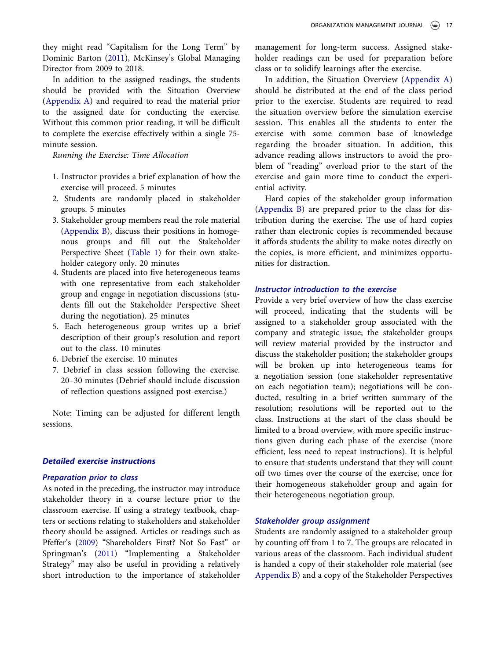<span id="page-4-0"></span>they might read "Capitalism for the Long Term" by Dominic Barton ([2011\)](#page-9-21), McKinsey's Global Managing Director from 2009 to 2018.

In addition to the assigned readings, the students should be provided with the Situation Overview ([Appendix A\)](#page-9-17) and required to read the material prior to the assigned date for conducting the exercise. Without this common prior reading, it will be difficult to complete the exercise effectively within a single 75 minute session.

Running the Exercise: Time Allocation

- 1. Instructor provides a brief explanation of how the exercise will proceed. 5 minutes
- 2. Students are randomly placed in stakeholder groups. 5 minutes
- 3. Stakeholder group members read the role material ([Appendix B](#page-10-0)), discuss their positions in homogenous groups and fill out the Stakeholder Perspective Sheet ([Table 1\)](#page-3-0) for their own stakeholder category only. 20 minutes
- 4. Students are placed into five heterogeneous teams with one representative from each stakeholder group and engage in negotiation discussions (students fill out the Stakeholder Perspective Sheet during the negotiation). 25 minutes
- 5. Each heterogeneous group writes up a brief description of their group's resolution and report out to the class. 10 minutes
- 6. Debrief the exercise. 10 minutes
- 7. Debrief in class session following the exercise. 20–30 minutes (Debrief should include discussion of reflection questions assigned post-exercise.)

Note: Timing can be adjusted for different length sessions.

#### Detailed exercise instructions

#### Preparation prior to class

As noted in the preceding, the instructor may introduce stakeholder theory in a course lecture prior to the classroom exercise. If using a strategy textbook, chapters or sections relating to stakeholders and stakeholder theory should be assigned. Articles or readings such as Pfeffer's ([2009](#page-9-20)) "Shareholders First? Not So Fast" or Springman's ([2011](#page-9-19)) "Implementing a Stakeholder Strategy" may also be useful in providing a relatively short introduction to the importance of stakeholder management for long-term success. Assigned stakeholder readings can be used for preparation before class or to solidify learnings after the exercise.

In addition, the Situation Overview [\(Appendix A](#page-9-17)) should be distributed at the end of the class period prior to the exercise. Students are required to read the situation overview before the simulation exercise session. This enables all the students to enter the exercise with some common base of knowledge regarding the broader situation. In addition, this advance reading allows instructors to avoid the problem of "reading" overload prior to the start of the exercise and gain more time to conduct the experiential activity.

Hard copies of the stakeholder group information ([Appendix B](#page-10-0)) are prepared prior to the class for distribution during the exercise. The use of hard copies rather than electronic copies is recommended because it affords students the ability to make notes directly on the copies, is more efficient, and minimizes opportunities for distraction.

#### Instructor introduction to the exercise

Provide a very brief overview of how the class exercise will proceed, indicating that the students will be assigned to a stakeholder group associated with the company and strategic issue; the stakeholder groups will review material provided by the instructor and discuss the stakeholder position; the stakeholder groups will be broken up into heterogeneous teams for a negotiation session (one stakeholder representative on each negotiation team); negotiations will be conducted, resulting in a brief written summary of the resolution; resolutions will be reported out to the class. Instructions at the start of the class should be limited to a broad overview, with more specific instructions given during each phase of the exercise (more efficient, less need to repeat instructions). It is helpful to ensure that students understand that they will count off two times over the course of the exercise, once for their homogeneous stakeholder group and again for their heterogeneous negotiation group.

#### Stakeholder group assignment

Students are randomly assigned to a stakeholder group by counting off from 1 to 7. The groups are relocated in various areas of the classroom. Each individual student is handed a copy of their stakeholder role material (see [Appendix B\)](#page-10-0) and a copy of the Stakeholder Perspectives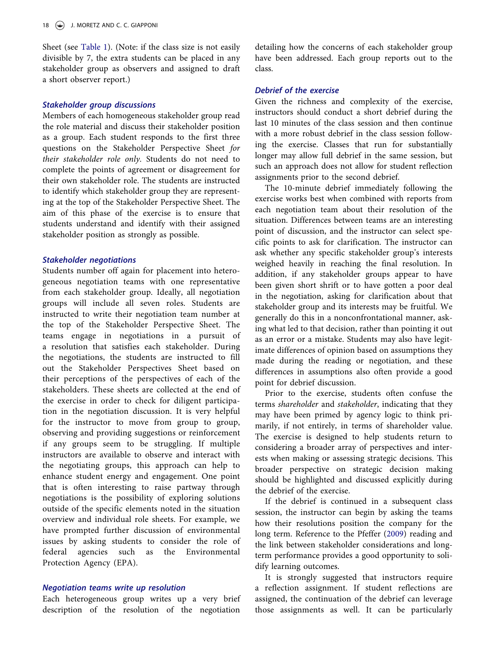Sheet (see [Table 1](#page-3-0)). (Note: if the class size is not easily divisible by 7, the extra students can be placed in any stakeholder group as observers and assigned to draft a short observer report.)

#### Stakeholder group discussions

Members of each homogeneous stakeholder group read the role material and discuss their stakeholder position as a group. Each student responds to the first three questions on the Stakeholder Perspective Sheet for their stakeholder role only. Students do not need to complete the points of agreement or disagreement for their own stakeholder role. The students are instructed to identify which stakeholder group they are representing at the top of the Stakeholder Perspective Sheet. The aim of this phase of the exercise is to ensure that students understand and identify with their assigned stakeholder position as strongly as possible.

#### Stakeholder negotiations

Students number off again for placement into heterogeneous negotiation teams with one representative from each stakeholder group. Ideally, all negotiation groups will include all seven roles. Students are instructed to write their negotiation team number at the top of the Stakeholder Perspective Sheet. The teams engage in negotiations in a pursuit of a resolution that satisfies each stakeholder. During the negotiations, the students are instructed to fill out the Stakeholder Perspectives Sheet based on their perceptions of the perspectives of each of the stakeholders. These sheets are collected at the end of the exercise in order to check for diligent participation in the negotiation discussion. It is very helpful for the instructor to move from group to group, observing and providing suggestions or reinforcement if any groups seem to be struggling. If multiple instructors are available to observe and interact with the negotiating groups, this approach can help to enhance student energy and engagement. One point that is often interesting to raise partway through negotiations is the possibility of exploring solutions outside of the specific elements noted in the situation overview and individual role sheets. For example, we have prompted further discussion of environmental issues by asking students to consider the role of federal agencies such as the Environmental Protection Agency (EPA).

#### Negotiation teams write up resolution

Each heterogeneous group writes up a very brief description of the resolution of the negotiation

detailing how the concerns of each stakeholder group have been addressed. Each group reports out to the class.

#### Debrief of the exercise

Given the richness and complexity of the exercise, instructors should conduct a short debrief during the last 10 minutes of the class session and then continue with a more robust debrief in the class session following the exercise. Classes that run for substantially longer may allow full debrief in the same session, but such an approach does not allow for student reflection assignments prior to the second debrief.

The 10-minute debrief immediately following the exercise works best when combined with reports from each negotiation team about their resolution of the situation. Differences between teams are an interesting point of discussion, and the instructor can select specific points to ask for clarification. The instructor can ask whether any specific stakeholder group's interests weighed heavily in reaching the final resolution. In addition, if any stakeholder groups appear to have been given short shrift or to have gotten a poor deal in the negotiation, asking for clarification about that stakeholder group and its interests may be fruitful. We generally do this in a nonconfrontational manner, asking what led to that decision, rather than pointing it out as an error or a mistake. Students may also have legitimate differences of opinion based on assumptions they made during the reading or negotiation, and these differences in assumptions also often provide a good point for debrief discussion.

Prior to the exercise, students often confuse the terms shareholder and stakeholder, indicating that they may have been primed by agency logic to think primarily, if not entirely, in terms of shareholder value. The exercise is designed to help students return to considering a broader array of perspectives and interests when making or assessing strategic decisions. This broader perspective on strategic decision making should be highlighted and discussed explicitly during the debrief of the exercise.

If the debrief is continued in a subsequent class session, the instructor can begin by asking the teams how their resolutions position the company for the long term. Reference to the Pfeffer [\(2009](#page-9-20)) reading and the link between stakeholder considerations and longterm performance provides a good opportunity to solidify learning outcomes.

It is strongly suggested that instructors require a reflection assignment. If student reflections are assigned, the continuation of the debrief can leverage those assignments as well. It can be particularly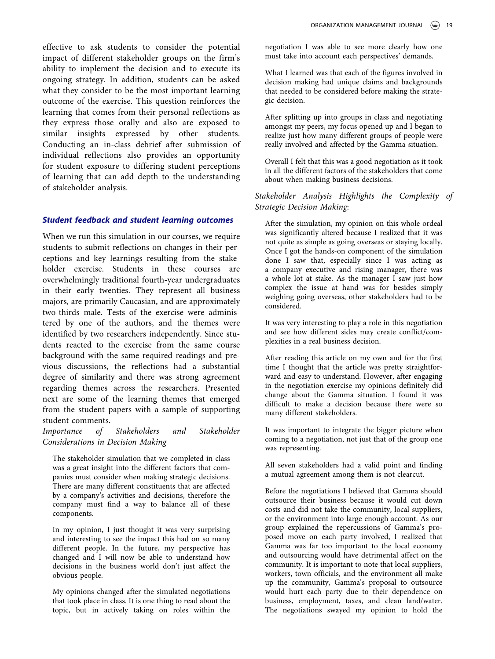effective to ask students to consider the potential impact of different stakeholder groups on the firm's ability to implement the decision and to execute its ongoing strategy. In addition, students can be asked what they consider to be the most important learning outcome of the exercise. This question reinforces the learning that comes from their personal reflections as they express those orally and also are exposed to similar insights expressed by other students. Conducting an in-class debrief after submission of individual reflections also provides an opportunity for student exposure to differing student perceptions of learning that can add depth to the understanding of stakeholder analysis.

#### Student feedback and student learning outcomes

When we run this simulation in our courses, we require students to submit reflections on changes in their perceptions and key learnings resulting from the stakeholder exercise. Students in these courses are overwhelmingly traditional fourth-year undergraduates in their early twenties. They represent all business majors, are primarily Caucasian, and are approximately two-thirds male. Tests of the exercise were administered by one of the authors, and the themes were identified by two researchers independently. Since students reacted to the exercise from the same course background with the same required readings and previous discussions, the reflections had a substantial degree of similarity and there was strong agreement regarding themes across the researchers. Presented next are some of the learning themes that emerged from the student papers with a sample of supporting student comments.

# Importance of Stakeholders and Stakeholder Considerations in Decision Making

The stakeholder simulation that we completed in class was a great insight into the different factors that companies must consider when making strategic decisions. There are many different constituents that are affected by a company's activities and decisions, therefore the company must find a way to balance all of these components.

In my opinion, I just thought it was very surprising and interesting to see the impact this had on so many different people. In the future, my perspective has changed and I will now be able to understand how decisions in the business world don't just affect the obvious people.

My opinions changed after the simulated negotiations that took place in class. It is one thing to read about the topic, but in actively taking on roles within the negotiation I was able to see more clearly how one must take into account each perspectives' demands.

What I learned was that each of the figures involved in decision making had unique claims and backgrounds that needed to be considered before making the strategic decision.

After splitting up into groups in class and negotiating amongst my peers, my focus opened up and I began to realize just how many different groups of people were really involved and affected by the Gamma situation.

Overall I felt that this was a good negotiation as it took in all the different factors of the stakeholders that come about when making business decisions.

# Stakeholder Analysis Highlights the Complexity of Strategic Decision Making:

After the simulation, my opinion on this whole ordeal was significantly altered because I realized that it was not quite as simple as going overseas or staying locally. Once I got the hands-on component of the simulation done I saw that, especially since I was acting as a company executive and rising manager, there was a whole lot at stake. As the manager I saw just how complex the issue at hand was for besides simply weighing going overseas, other stakeholders had to be considered.

It was very interesting to play a role in this negotiation and see how different sides may create conflict/complexities in a real business decision.

After reading this article on my own and for the first time I thought that the article was pretty straightforward and easy to understand. However, after engaging in the negotiation exercise my opinions definitely did change about the Gamma situation. I found it was difficult to make a decision because there were so many different stakeholders.

It was important to integrate the bigger picture when coming to a negotiation, not just that of the group one was representing.

All seven stakeholders had a valid point and finding a mutual agreement among them is not clearcut.

Before the negotiations I believed that Gamma should outsource their business because it would cut down costs and did not take the community, local suppliers, or the environment into large enough account. As our group explained the repercussions of Gamma's proposed move on each party involved, I realized that Gamma was far too important to the local economy and outsourcing would have detrimental affect on the community. It is important to note that local suppliers, workers, town officials, and the environment all make up the community, Gamma's proposal to outsource would hurt each party due to their dependence on business, employment, taxes, and clean land/water. The negotiations swayed my opinion to hold the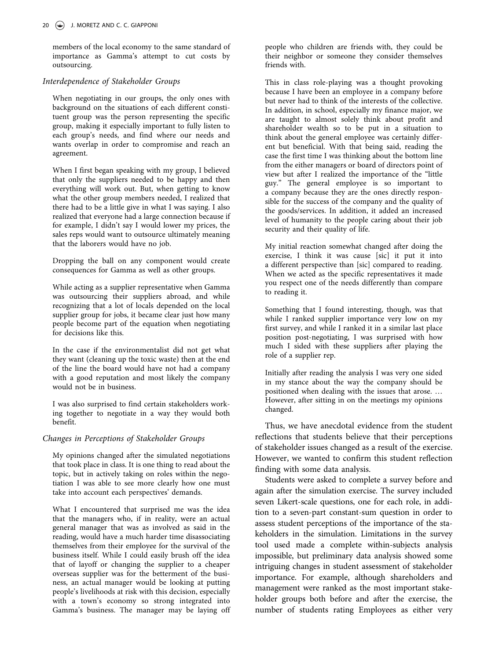members of the local economy to the same standard of importance as Gamma's attempt to cut costs by outsourcing.

#### Interdependence of Stakeholder Groups

When negotiating in our groups, the only ones with background on the situations of each different constituent group was the person representing the specific group, making it especially important to fully listen to each group's needs, and find where our needs and wants overlap in order to compromise and reach an agreement.

When I first began speaking with my group, I believed that only the suppliers needed to be happy and then everything will work out. But, when getting to know what the other group members needed, I realized that there had to be a little give in what I was saying. I also realized that everyone had a large connection because if for example, I didn't say I would lower my prices, the sales reps would want to outsource ultimately meaning that the laborers would have no job.

Dropping the ball on any component would create consequences for Gamma as well as other groups.

While acting as a supplier representative when Gamma was outsourcing their suppliers abroad, and while recognizing that a lot of locals depended on the local supplier group for jobs, it became clear just how many people become part of the equation when negotiating for decisions like this.

In the case if the environmentalist did not get what they want (cleaning up the toxic waste) then at the end of the line the board would have not had a company with a good reputation and most likely the company would not be in business.

I was also surprised to find certain stakeholders working together to negotiate in a way they would both benefit.

#### Changes in Perceptions of Stakeholder Groups

My opinions changed after the simulated negotiations that took place in class. It is one thing to read about the topic, but in actively taking on roles within the negotiation I was able to see more clearly how one must take into account each perspectives' demands.

What I encountered that surprised me was the idea that the managers who, if in reality, were an actual general manager that was as involved as said in the reading, would have a much harder time disassociating themselves from their employee for the survival of the business itself. While I could easily brush off the idea that of layoff or changing the supplier to a cheaper overseas supplier was for the betterment of the business, an actual manager would be looking at putting people's livelihoods at risk with this decision, especially with a town's economy so strong integrated into Gamma's business. The manager may be laying off

people who children are friends with, they could be their neighbor or someone they consider themselves friends with.

This in class role-playing was a thought provoking because I have been an employee in a company before but never had to think of the interests of the collective. In addition, in school, especially my finance major, we are taught to almost solely think about profit and shareholder wealth so to be put in a situation to think about the general employee was certainly different but beneficial. With that being said, reading the case the first time I was thinking about the bottom line from the either managers or board of directors point of view but after I realized the importance of the "little guy." The general employee is so important to a company because they are the ones directly responsible for the success of the company and the quality of the goods/services. In addition, it added an increased level of humanity to the people caring about their job security and their quality of life.

My initial reaction somewhat changed after doing the exercise, I think it was cause [sic] it put it into a different perspective than [sic] compared to reading. When we acted as the specific representatives it made you respect one of the needs differently than compare to reading it.

Something that I found interesting, though, was that while I ranked supplier importance very low on my first survey, and while I ranked it in a similar last place position post-negotiating, I was surprised with how much I sided with these suppliers after playing the role of a supplier rep.

Initially after reading the analysis I was very one sided in my stance about the way the company should be positioned when dealing with the issues that arose. … However, after sitting in on the meetings my opinions changed.

Thus, we have anecdotal evidence from the student reflections that students believe that their perceptions of stakeholder issues changed as a result of the exercise. However, we wanted to confirm this student reflection finding with some data analysis.

Students were asked to complete a survey before and again after the simulation exercise. The survey included seven Likert-scale questions, one for each role, in addition to a seven-part constant-sum question in order to assess student perceptions of the importance of the stakeholders in the simulation. Limitations in the survey tool used made a complete within-subjects analysis impossible, but preliminary data analysis showed some intriguing changes in student assessment of stakeholder importance. For example, although shareholders and management were ranked as the most important stakeholder groups both before and after the exercise, the number of students rating Employees as either very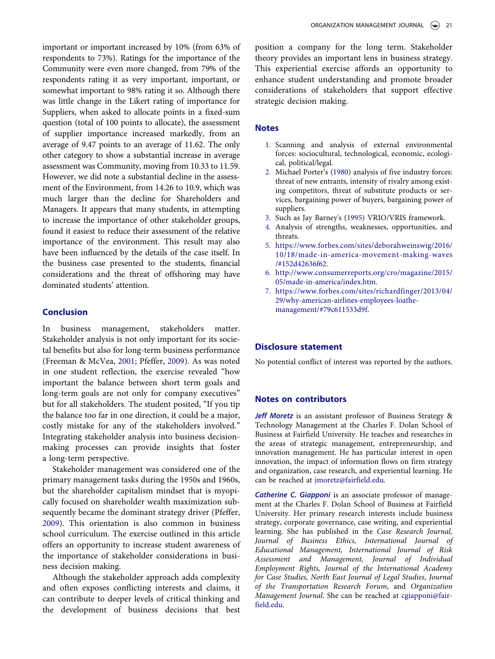important or important increased by 10% (from 63% of respondents to 73%). Ratings for the importance of the Community were even more changed, from 79% of the respondents rating it as very important, important, or somewhat important to 98% rating it so. Although there was little change in the Likert rating of importance for Suppliers, when asked to allocate points in a fixed-sum question (total of 100 points to allocate), the assessment of supplier importance increased markedly, from an average of 9.47 points to an average of 11.62. The only other category to show a substantial increase in average assessment was Community, moving from 10.33 to 11.59. However, we did note a substantial decline in the assessment of the Environment, from 14.26 to 10.9, which was much larger than the decline for Shareholders and Managers. It appears that many students, in attempting to increase the importance of other stakeholder groups, found it easiest to reduce their assessment of the relative importance of the environment. This result may also have been influenced by the details of the case itself. In the business case presented to the students, financial considerations and the threat of offshoring may have dominated students' attention.

#### Conclusion

In business management, stakeholders matter. Stakeholder analysis is not only important for its societal benefits but also for long-term business performance (Freeman & McVea, [2001;](#page-9-1) Pfeffer, [2009](#page-9-20)). As was noted in one student reflection, the exercise revealed "how important the balance between short term goals and long-term goals are not only for company executives" but for all stakeholders. The student posited, "If you tip the balance too far in one direction, it could be a major, costly mistake for any of the stakeholders involved." Integrating stakeholder analysis into business decisionmaking processes can provide insights that foster a long-term perspective.

Stakeholder management was considered one of the primary management tasks during the 1950s and 1960s, but the shareholder capitalism mindset that is myopically focused on shareholder wealth maximization subsequently became the dominant strategy driver (Pfeffer, [2009](#page-9-20)). This orientation is also common in business school curriculum. The exercise outlined in this article offers an opportunity to increase student awareness of the importance of stakeholder considerations in business decision making.

Although the stakeholder approach adds complexity and often exposes conflicting interests and claims, it can contribute to deeper levels of critical thinking and the development of business decisions that best

position a company for the long term. Stakeholder theory provides an important lens in business strategy. This experiential exercise affords an opportunity to enhance student understanding and promote broader considerations of stakeholders that support effective strategic decision making.

# **Notes**

- <span id="page-8-0"></span>1. Scanning and analysis of external environmental forces: sociocultural, technological, economic, ecological, political/legal.
- <span id="page-8-5"></span><span id="page-8-1"></span>2. Michael Porter's ([1980\)](#page-9-22) analysis of five industry forces: threat of new entrants, intensity of rivalry among existing competitors, threat of substitute products or services, bargaining power of buyers, bargaining power of suppliers.
- <span id="page-8-4"></span><span id="page-8-2"></span>3. Such as Jay Barney's [\(1995](#page-9-23)) VRIO/VRIS framework.
- <span id="page-8-3"></span>4. Analysis of strengths, weaknesses, opportunities, and threats.
- <span id="page-8-6"></span>5. [https://www.forbes.com/sites/deborahweinswig/2016/](https://www.forbes.com/sites/deborahweinswig/2016/10/18/made-in-america-movement-making-waves/#152d42636f62) [10/18/made-in-america-movement-making-waves](https://www.forbes.com/sites/deborahweinswig/2016/10/18/made-in-america-movement-making-waves/#152d42636f62) [/#152d42636f62.](https://www.forbes.com/sites/deborahweinswig/2016/10/18/made-in-america-movement-making-waves/#152d42636f62)
- <span id="page-8-7"></span>6. [http://www.consumerreports.org/cro/magazine/2015/](http://www.consumerreports.org/cro/magazine/2015/05/made-in-america/index.htm) [05/made-in-america/index.htm.](http://www.consumerreports.org/cro/magazine/2015/05/made-in-america/index.htm)
- <span id="page-8-8"></span>7. [https://www.forbes.com/sites/richardfinger/2013/04/](https://www.forbes.com/sites/richardfinger/2013/04/29/why-american-airlines-employees-loathe-management/#79c611533d9f) [29/why-american-airlines-employees-loathe](https://www.forbes.com/sites/richardfinger/2013/04/29/why-american-airlines-employees-loathe-management/#79c611533d9f)[management/#79c611533d9f.](https://www.forbes.com/sites/richardfinger/2013/04/29/why-american-airlines-employees-loathe-management/#79c611533d9f)

#### Disclosure statement

No potential conflict of interest was reported by the authors.

#### Notes on contributors

Jeff Moretz is an assistant professor of Business Strategy & Technology Management at the Charles F. Dolan School of Business at Fairfield University. He teaches and researches in the areas of strategic management, entrepreneurship, and innovation management. He has particular interest in open innovation, the impact of information flows on firm strategy and organization, case research, and experiential learning. He can be reached at jmoretz@fairfield.edu.

Catherine C. Giapponi is an associate professor of management at the Charles F. Dolan School of Business at Fairfield University. Her primary research interests include business strategy, corporate governance, case writing, and experiential learning. She has published in the Case Research Journal, Journal of Business Ethics, International Journal of Educational Management, International Journal of Risk Assessment and Management, Journal of Individual Employment Rights, Journal of the International Academy for Case Studies, North East Journal of Legal Studies, Journal of the Transportation Research Forum, and Organization Management Journal. She can be reached at cgiapponi@fairfield.edu.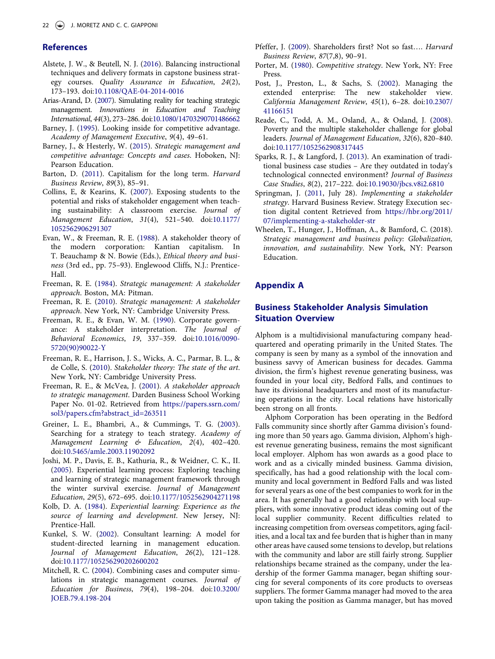#### **References**

- <span id="page-9-7"></span>Alstete, J. W., & Beutell, N. J. ([2016](#page-2-0)). Balancing instructional techniques and delivery formats in capstone business strategy courses. Quality Assurance in Education, 24(2), 173–193. doi[:10.1108/QAE-04-2014-0016](http://dx.doi.org/10.1108/QAE-04-2014-0016)
- <span id="page-9-10"></span>Arias-Arand, D. ([2007](#page-2-1)). Simulating reality for teaching strategic management. Innovations in Education and Teaching International, 44(3), 273–286. doi[:10.1080/14703290701486662](http://dx.doi.org/10.1080/14703290701486662)
- <span id="page-9-23"></span>Barney, J. ([1995\)](#page-8-4). Looking inside for competitive advantage. Academy of Management Executive, 9(4), 49–61.
- <span id="page-9-18"></span>Barney, J., & Hesterly, W. ([2015](#page-3-1)). Strategic management and competitive advantage: Concepts and cases. Hoboken, NJ: Pearson Education.
- <span id="page-9-21"></span>Barton, D. [\(2011\)](#page-4-0). Capitalism for the long term. Harvard Business Review, 89(3), 85–91.
- <span id="page-9-15"></span>Collins, E, & Kearins, K. ([2007](#page-2-2)). Exposing students to the potential and risks of stakeholder engagement when teaching sustainability: A classroom exercise. Journal of Management Education, 31(4), 521–540. doi[:10.1177/](http://dx.doi.org/10.1177/1052562906291307) [1052562906291307](http://dx.doi.org/10.1177/1052562906291307)
- <span id="page-9-5"></span>Evan, W., & Freeman, R. E. ([1988\)](#page-1-0). A stakeholder theory of the modern corporation: Kantian capitalism. In T. Beauchamp & N. Bowie (Eds.), Ethical theory and business (3rd ed., pp. 75–93). Englewood Cliffs, N.J.: Prentice-Hall.
- <span id="page-9-2"></span>Freeman, R. E. ([1984](#page-1-1)). Strategic management: A stakeholder approach. Boston, MA: Pitman.
- <span id="page-9-3"></span>Freeman, R. E. ([2010](#page-1-2)). Strategic management: A stakeholder approach. New York, NY: Cambridge University Press.
- <span id="page-9-6"></span>Freeman, R. E., & Evan, W. M. [\(1990](#page-2-3)). Corporate governance: A stakeholder interpretation. The Journal of Behavioral Economics, 19, 337–359. doi:[10.1016/0090-](http://dx.doi.org/10.1016/0090-5720(90)90022-Y) [5720\(90\)90022-Y](http://dx.doi.org/10.1016/0090-5720(90)90022-Y)
- <span id="page-9-4"></span>Freeman, R. E., Harrison, J. S., Wicks, A. C., Parmar, B. L., & de Colle, S. ([2010\)](#page-1-3). Stakeholder theory: The state of the art. New York, NY: Cambridge University Press.
- <span id="page-9-1"></span>Freeman, R. E., & McVea, J. [\(2001](#page-1-4)). A stakeholder approach to strategic management. Darden Business School Working Paper No. 01-02. Retrieved from [https://papers.ssrn.com/](https://papers.ssrn.com/sol3/papers.cfm?abstract_id=263511) [sol3/papers.cfm?abstract\\_id=263511](https://papers.ssrn.com/sol3/papers.cfm?abstract_id=263511)
- <span id="page-9-8"></span>Greiner, L. E., Bhambri, A., & Cummings, T. G. [\(2003\)](#page-2-4). Searching for a strategy to teach strategy. Academy of Management Learning & Education, 2(4), 402–420. doi:[10.5465/amle.2003.11902092](http://dx.doi.org/10.5465/amle.2003.11902092)
- <span id="page-9-14"></span>Joshi, M. P., Davis, E. B., Kathuria, R., & Weidner, C. K., II. [\(2005\)](#page-2-5). Experiential learning process: Exploring teaching and learning of strategic management framework through the winter survival exercise. Journal of Management Education, 29(5), 672–695. doi[:10.1177/1052562904271198](http://dx.doi.org/10.1177/1052562904271198)
- <span id="page-9-13"></span>Kolb, D. A. [\(1984](#page-2-6)). Experiential learning: Experience as the source of learning and development. New Jersey, NJ: Prentice-Hall.
- <span id="page-9-12"></span>Kunkel, S. W. ([2002](#page-2-7)). Consultant learning: A model for student-directed learning in management education. Journal of Management Education, 26(2), 121–128. doi:[10.1177/105256290202600202](http://dx.doi.org/10.1177/105256290202600202)
- <span id="page-9-11"></span>Mitchell, R. C. [\(2004\)](#page-2-1). Combining cases and computer simulations in strategic management courses. Journal of Education for Business, 79(4), 198–204. doi[:10.3200/](http://dx.doi.org/10.3200/JOEB.79.4.198-204) [JOEB.79.4.198-204](http://dx.doi.org/10.3200/JOEB.79.4.198-204)
- <span id="page-9-20"></span>Pfeffer, J. [\(2009](#page-3-2)). Shareholders first? Not so fast…. Harvard Business Review, 87(7,8), 90–91.
- <span id="page-9-22"></span>Porter, M. ([1980\)](#page-8-5). Competitive strategy. New York, NY: Free Press.
- <span id="page-9-0"></span>Post, J., Preston, L., & Sachs, S. [\(2002\)](#page-1-5). Managing the extended enterprise: The new stakeholder view. California Management Review, 45(1), 6–28. doi[:10.2307/](http://dx.doi.org/10.2307/41166151) [41166151](http://dx.doi.org/10.2307/41166151)
- <span id="page-9-16"></span>Reade, C., Todd, A. M., Osland, A., & Osland, J. [\(2008\)](#page-2-8). Poverty and the multiple stakeholder challenge for global leaders. Journal of Management Education, 32(6), 820–840. doi:[10.1177/1052562908317445](http://dx.doi.org/10.1177/1052562908317445)
- <span id="page-9-9"></span>Sparks, R. J., & Langford, J. ([2013](#page-2-9)). An examination of traditional business case studies – Are they outdated in today's technological connected environment? Journal of Business Case Studies, 8(2), 217–222. doi[:10.19030/jbcs.v8i2.6810](http://dx.doi.org/10.19030/jbcs.v8i2.6810)
- <span id="page-9-19"></span>Springman, J. ([2011](#page-3-3), July 28). Implementing a stakeholder strategy. Harvard Business Review. Strategy Execution section digital content Retrieved from [https://hbr.org/2011/](https://hbr.org/2011/07/implementing-a-stakeholder-str) [07/implementing-a-stakeholder-str](https://hbr.org/2011/07/implementing-a-stakeholder-str)
- Wheelen, T., Hunger, J., Hoffman, A., & Bamford, C. (2018). Strategic management and business policy: Globalization, innovation, and sustainability. New York, NY: Pearson Education.

#### <span id="page-9-17"></span>Appendix A

# Business Stakeholder Analysis Simulation Situation Overview

Alphom is a multidivisional manufacturing company headquartered and operating primarily in the United States. The company is seen by many as a symbol of the innovation and business savvy of American business for decades. Gamma division, the firm's highest revenue generating business, was founded in your local city, Bedford Falls, and continues to have its divisional headquarters and most of its manufacturing operations in the city. Local relations have historically been strong on all fronts.

Alphom Corporation has been operating in the Bedford Falls community since shortly after Gamma division's founding more than 50 years ago. Gamma division, Alphom's highest revenue generating business, remains the most significant local employer. Alphom has won awards as a good place to work and as a civically minded business. Gamma division, specifically, has had a good relationship with the local community and local government in Bedford Falls and was listed for several years as one of the best companies to work for in the area. It has generally had a good relationship with local suppliers, with some innovative product ideas coming out of the local supplier community. Recent difficulties related to increasing competition from overseas competitors, aging facilities, and a local tax and fee burden that is higher than in many other areas have caused some tensions to develop, but relations with the community and labor are still fairly strong. Supplier relationships became strained as the company, under the leadership of the former Gamma manager, began shifting sourcing for several components of its core products to overseas suppliers. The former Gamma manager had moved to the area upon taking the position as Gamma manager, but has moved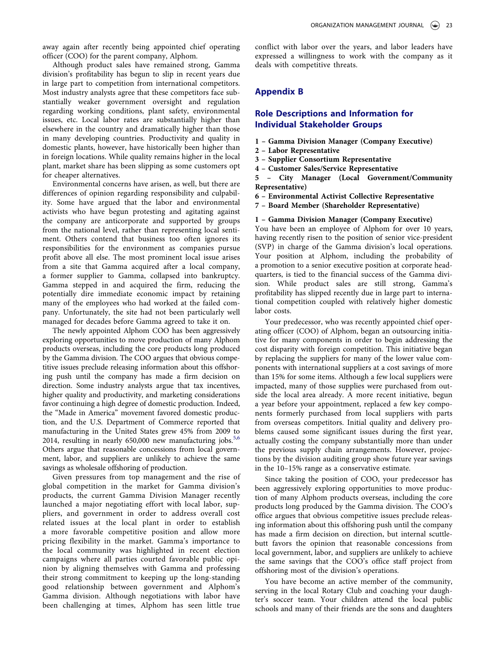away again after recently being appointed chief operating officer (COO) for the parent company, Alphom.

Although product sales have remained strong, Gamma division's profitability has begun to slip in recent years due in large part to competition from international competitors. Most industry analysts agree that these competitors face substantially weaker government oversight and regulation regarding working conditions, plant safety, environmental issues, etc. Local labor rates are substantially higher than elsewhere in the country and dramatically higher than those in many developing countries. Productivity and quality in domestic plants, however, have historically been higher than in foreign locations. While quality remains higher in the local plant, market share has been slipping as some customers opt for cheaper alternatives.

Environmental concerns have arisen, as well, but there are differences of opinion regarding responsibility and culpability. Some have argued that the labor and environmental activists who have begun protesting and agitating against the company are anticorporate and supported by groups from the national level, rather than representing local sentiment. Others contend that business too often ignores its responsibilities for the environment as companies pursue profit above all else. The most prominent local issue arises from a site that Gamma acquired after a local company, a former supplier to Gamma, collapsed into bankruptcy. Gamma stepped in and acquired the firm, reducing the potentially dire immediate economic impact by retaining many of the employees who had worked at the failed company. Unfortunately, the site had not been particularly well managed for decades before Gamma agreed to take it on.

The newly appointed Alphom COO has been aggressively exploring opportunities to move production of many Alphom products overseas, including the core products long produced by the Gamma division. The COO argues that obvious competitive issues preclude releasing information about this offshoring push until the company has made a firm decision on direction. Some industry analysts argue that tax incentives, higher quality and productivity, and marketing considerations favor continuing a high degree of domestic production. Indeed, the "Made in America" movement favored domestic production, and the U.S. Department of Commerce reported that manufacturing in the United States grew 45% from 2009 to 2014, resulting in nearly  $650,000$  $650,000$  $650,000$  new manufacturing jobs.<sup>5,[6](#page-8-7)</sup> Others argue that reasonable concessions from local government, labor, and suppliers are unlikely to achieve the same savings as wholesale offshoring of production.

Given pressures from top management and the rise of global competition in the market for Gamma division's products, the current Gamma Division Manager recently launched a major negotiating effort with local labor, suppliers, and government in order to address overall cost related issues at the local plant in order to establish a more favorable competitive position and allow more pricing flexibility in the market. Gamma's importance to the local community was highlighted in recent election campaigns where all parties courted favorable public opinion by aligning themselves with Gamma and professing their strong commitment to keeping up the long-standing good relationship between government and Alphom's Gamma division. Although negotiations with labor have been challenging at times, Alphom has seen little true

conflict with labor over the years, and labor leaders have expressed a willingness to work with the company as it deals with competitive threats.

#### <span id="page-10-0"></span>Appendix B

# Role Descriptions and Information for Individual Stakeholder Groups

- 1 Gamma Division Manager (Company Executive)
- 2 Labor Representative
- 3 Supplier Consortium Representative
- 4 Customer Sales/Service Representative

5 – City Manager (Local Government/Community Representative)

6 – Environmental Activist Collective Representative

7 – Board Member (Shareholder Representative)

#### 1 – Gamma Division Manager (Company Executive)

You have been an employee of Alphom for over 10 years, having recently risen to the position of senior vice-president (SVP) in charge of the Gamma division's local operations. Your position at Alphom, including the probability of a promotion to a senior executive position at corporate headquarters, is tied to the financial success of the Gamma division. While product sales are still strong, Gamma's profitability has slipped recently due in large part to international competition coupled with relatively higher domestic labor costs.

Your predecessor, who was recently appointed chief operating officer (COO) of Alphom, began an outsourcing initiative for many components in order to begin addressing the cost disparity with foreign competition. This initiative began by replacing the suppliers for many of the lower value components with international suppliers at a cost savings of more than 15% for some items. Although a few local suppliers were impacted, many of those supplies were purchased from outside the local area already. A more recent initiative, begun a year before your appointment, replaced a few key components formerly purchased from local suppliers with parts from overseas competitors. Initial quality and delivery problems caused some significant issues during the first year, actually costing the company substantially more than under the previous supply chain arrangements. However, projections by the division auditing group show future year savings in the 10–15% range as a conservative estimate.

Since taking the position of COO, your predecessor has been aggressively exploring opportunities to move production of many Alphom products overseas, including the core products long produced by the Gamma division. The COO's office argues that obvious competitive issues preclude releasing information about this offshoring push until the company has made a firm decision on direction, but internal scuttlebutt favors the opinion that reasonable concessions from local government, labor, and suppliers are unlikely to achieve the same savings that the COO's office staff project from offshoring most of the division's operations.

You have become an active member of the community, serving in the local Rotary Club and coaching your daughter's soccer team. Your children attend the local public schools and many of their friends are the sons and daughters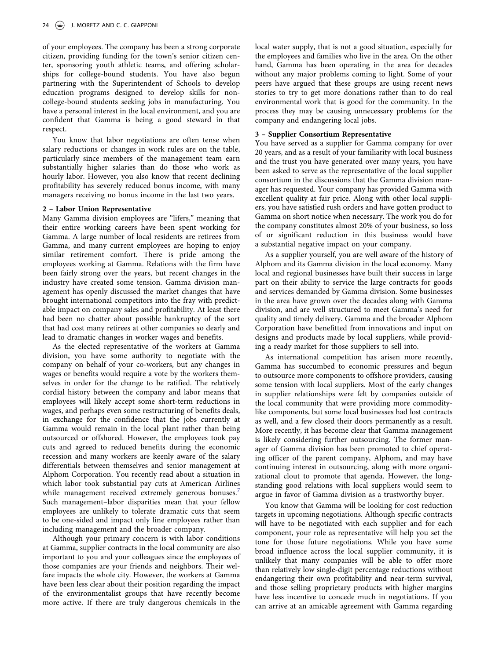of your employees. The company has been a strong corporate citizen, providing funding for the town's senior citizen center, sponsoring youth athletic teams, and offering scholarships for college-bound students. You have also begun partnering with the Superintendent of Schools to develop education programs designed to develop skills for noncollege-bound students seeking jobs in manufacturing. You have a personal interest in the local environment, and you are confident that Gamma is being a good steward in that respect.

You know that labor negotiations are often tense when salary reductions or changes in work rules are on the table, particularly since members of the management team earn substantially higher salaries than do those who work as hourly labor. However, you also know that recent declining profitability has severely reduced bonus income, with many managers receiving no bonus income in the last two years.

#### 2 – Labor Union Representative

Many Gamma division employees are "lifers," meaning that their entire working careers have been spent working for Gamma. A large number of local residents are retirees from Gamma, and many current employees are hoping to enjoy similar retirement comfort. There is pride among the employees working at Gamma. Relations with the firm have been fairly strong over the years, but recent changes in the industry have created some tension. Gamma division management has openly discussed the market changes that have brought international competitors into the fray with predictable impact on company sales and profitability. At least there had been no chatter about possible bankruptcy of the sort that had cost many retirees at other companies so dearly and lead to dramatic changes in worker wages and benefits.

As the elected representative of the workers at Gamma division, you have some authority to negotiate with the company on behalf of your co-workers, but any changes in wages or benefits would require a vote by the workers themselves in order for the change to be ratified. The relatively cordial history between the company and labor means that employees will likely accept some short-term reductions in wages, and perhaps even some restructuring of benefits deals, in exchange for the confidence that the jobs currently at Gamma would remain in the local plant rather than being outsourced or offshored. However, the employees took pay cuts and agreed to reduced benefits during the economic recession and many workers are keenly aware of the salary differentials between themselves and senior management at Alphom Corporation. You recently read about a situation in which labor took substantial pay cuts at American Airlines while management received extremely generous bonuses.<sup>[7](#page-8-8)</sup> Such management–labor disparities mean that your fellow employees are unlikely to tolerate dramatic cuts that seem to be one-sided and impact only line employees rather than including management and the broader company.

Although your primary concern is with labor conditions at Gamma, supplier contracts in the local community are also important to you and your colleagues since the employees of those companies are your friends and neighbors. Their welfare impacts the whole city. However, the workers at Gamma have been less clear about their position regarding the impact of the environmentalist groups that have recently become more active. If there are truly dangerous chemicals in the

local water supply, that is not a good situation, especially for the employees and families who live in the area. On the other hand, Gamma has been operating in the area for decades without any major problems coming to light. Some of your peers have argued that these groups are using recent news stories to try to get more donations rather than to do real environmental work that is good for the community. In the process they may be causing unnecessary problems for the company and endangering local jobs.

#### 3 – Supplier Consortium Representative

You have served as a supplier for Gamma company for over 20 years, and as a result of your familiarity with local business and the trust you have generated over many years, you have been asked to serve as the representative of the local supplier consortium in the discussions that the Gamma division manager has requested. Your company has provided Gamma with excellent quality at fair price. Along with other local suppliers, you have satisfied rush orders and have gotten product to Gamma on short notice when necessary. The work you do for the company constitutes almost 20% of your business, so loss of or significant reduction in this business would have a substantial negative impact on your company.

As a supplier yourself, you are well aware of the history of Alphom and its Gamma division in the local economy. Many local and regional businesses have built their success in large part on their ability to service the large contracts for goods and services demanded by Gamma division. Some businesses in the area have grown over the decades along with Gamma division, and are well structured to meet Gamma's need for quality and timely delivery. Gamma and the broader Alphom Corporation have benefitted from innovations and input on designs and products made by local suppliers, while providing a ready market for those suppliers to sell into.

As international competition has arisen more recently, Gamma has succumbed to economic pressures and begun to outsource more components to offshore providers, causing some tension with local suppliers. Most of the early changes in supplier relationships were felt by companies outside of the local community that were providing more commoditylike components, but some local businesses had lost contracts as well, and a few closed their doors permanently as a result. More recently, it has become clear that Gamma management is likely considering further outsourcing. The former manager of Gamma division has been promoted to chief operating officer of the parent company, Alphom, and may have continuing interest in outsourcing, along with more organizational clout to promote that agenda. However, the longstanding good relations with local suppliers would seem to argue in favor of Gamma division as a trustworthy buyer.

You know that Gamma will be looking for cost reduction targets in upcoming negotiations. Although specific contracts will have to be negotiated with each supplier and for each component, your role as representative will help you set the tone for those future negotiations. While you have some broad influence across the local supplier community, it is unlikely that many companies will be able to offer more than relatively low single-digit percentage reductions without endangering their own profitability and near-term survival, and those selling proprietary products with higher margins have less incentive to concede much in negotiations. If you can arrive at an amicable agreement with Gamma regarding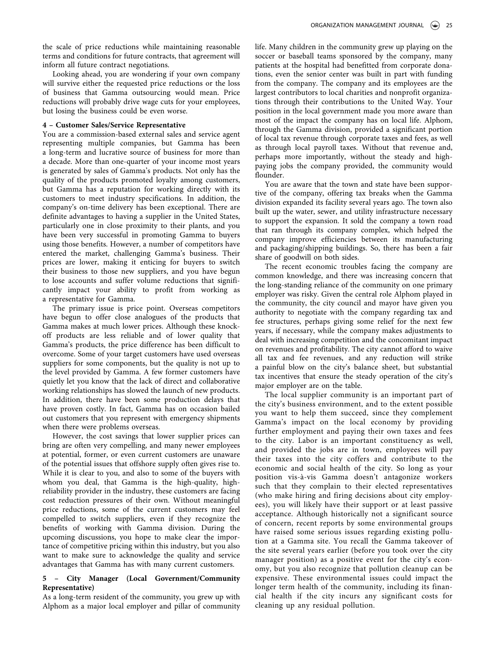the scale of price reductions while maintaining reasonable terms and conditions for future contracts, that agreement will inform all future contract negotiations.

Looking ahead, you are wondering if your own company will survive either the requested price reductions or the loss of business that Gamma outsourcing would mean. Price reductions will probably drive wage cuts for your employees, but losing the business could be even worse.

#### 4 – Customer Sales/Service Representative

You are a commission-based external sales and service agent representing multiple companies, but Gamma has been a long-term and lucrative source of business for more than a decade. More than one-quarter of your income most years is generated by sales of Gamma's products. Not only has the quality of the products promoted loyalty among customers, but Gamma has a reputation for working directly with its customers to meet industry specifications. In addition, the company's on-time delivery has been exceptional. There are definite advantages to having a supplier in the United States, particularly one in close proximity to their plants, and you have been very successful in promoting Gamma to buyers using those benefits. However, a number of competitors have entered the market, challenging Gamma's business. Their prices are lower, making it enticing for buyers to switch their business to those new suppliers, and you have begun to lose accounts and suffer volume reductions that significantly impact your ability to profit from working as a representative for Gamma.

The primary issue is price point. Overseas competitors have begun to offer close analogues of the products that Gamma makes at much lower prices. Although these knockoff products are less reliable and of lower quality that Gamma's products, the price difference has been difficult to overcome. Some of your target customers have used overseas suppliers for some components, but the quality is not up to the level provided by Gamma. A few former customers have quietly let you know that the lack of direct and collaborative working relationships has slowed the launch of new products. In addition, there have been some production delays that have proven costly. In fact, Gamma has on occasion bailed out customers that you represent with emergency shipments when there were problems overseas.

However, the cost savings that lower supplier prices can bring are often very compelling, and many newer employees at potential, former, or even current customers are unaware of the potential issues that offshore supply often gives rise to. While it is clear to you, and also to some of the buyers with whom you deal, that Gamma is the high-quality, highreliability provider in the industry, these customers are facing cost reduction pressures of their own. Without meaningful price reductions, some of the current customers may feel compelled to switch suppliers, even if they recognize the benefits of working with Gamma division. During the upcoming discussions, you hope to make clear the importance of competitive pricing within this industry, but you also want to make sure to acknowledge the quality and service advantages that Gamma has with many current customers.

#### 5 – City Manager (Local Government/Community Representative)

As a long-term resident of the community, you grew up with Alphom as a major local employer and pillar of community

life. Many children in the community grew up playing on the soccer or baseball teams sponsored by the company, many patients at the hospital had benefitted from corporate donations, even the senior center was built in part with funding from the company. The company and its employees are the largest contributors to local charities and nonprofit organizations through their contributions to the United Way. Your position in the local government made you more aware than most of the impact the company has on local life. Alphom, through the Gamma division, provided a significant portion of local tax revenue through corporate taxes and fees, as well as through local payroll taxes. Without that revenue and, perhaps more importantly, without the steady and highpaying jobs the company provided, the community would flounder.

You are aware that the town and state have been supportive of the company, offering tax breaks when the Gamma division expanded its facility several years ago. The town also built up the water, sewer, and utility infrastructure necessary to support the expansion. It sold the company a town road that ran through its company complex, which helped the company improve efficiencies between its manufacturing and packaging/shipping buildings. So, there has been a fair share of goodwill on both sides.

The recent economic troubles facing the company are common knowledge, and there was increasing concern that the long-standing reliance of the community on one primary employer was risky. Given the central role Alphom played in the community, the city council and mayor have given you authority to negotiate with the company regarding tax and fee structures, perhaps giving some relief for the next few years, if necessary, while the company makes adjustments to deal with increasing competition and the concomitant impact on revenues and profitability. The city cannot afford to waive all tax and fee revenues, and any reduction will strike a painful blow on the city's balance sheet, but substantial tax incentives that ensure the steady operation of the city's major employer are on the table.

The local supplier community is an important part of the city's business environment, and to the extent possible you want to help them succeed, since they complement Gamma's impact on the local economy by providing further employment and paying their own taxes and fees to the city. Labor is an important constituency as well, and provided the jobs are in town, employees will pay their taxes into the city coffers and contribute to the economic and social health of the city. So long as your position vis-à-vis Gamma doesn't antagonize workers such that they complain to their elected representatives (who make hiring and firing decisions about city employees), you will likely have their support or at least passive acceptance. Although historically not a significant source of concern, recent reports by some environmental groups have raised some serious issues regarding existing pollution at a Gamma site. You recall the Gamma takeover of the site several years earlier (before you took over the city manager position) as a positive event for the city's economy, but you also recognize that pollution cleanup can be expensive. These environmental issues could impact the longer term health of the community, including its financial health if the city incurs any significant costs for cleaning up any residual pollution.